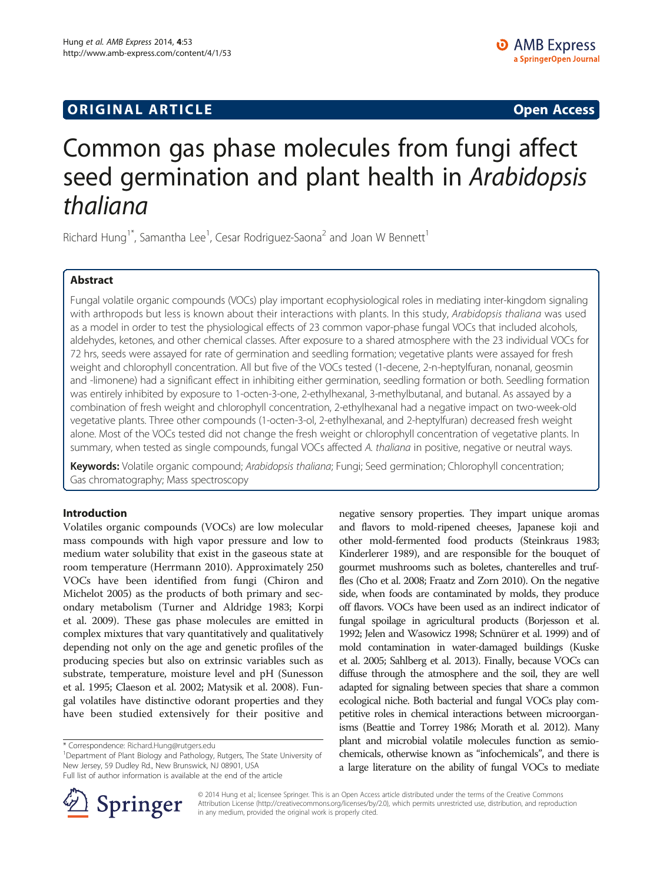## **ORIGINAL ARTICLE CONSUMING A LIGACION CONSUMING A LIGACION CONSUMING A LIGACION**

# Common gas phase molecules from fungi affect seed germination and plant health in Arabidopsis thaliana

Richard Hung<sup>1\*</sup>, Samantha Lee<sup>1</sup>, Cesar Rodriguez-Saona<sup>2</sup> and Joan W Bennett<sup>1</sup>

## Abstract

Fungal volatile organic compounds (VOCs) play important ecophysiological roles in mediating inter-kingdom signaling with arthropods but less is known about their interactions with plants. In this study, Arabidopsis thaliana was used as a model in order to test the physiological effects of 23 common vapor-phase fungal VOCs that included alcohols, aldehydes, ketones, and other chemical classes. After exposure to a shared atmosphere with the 23 individual VOCs for 72 hrs, seeds were assayed for rate of germination and seedling formation; vegetative plants were assayed for fresh weight and chlorophyll concentration. All but five of the VOCs tested (1-decene, 2-n-heptylfuran, nonanal, geosmin and -limonene) had a significant effect in inhibiting either germination, seedling formation or both. Seedling formation was entirely inhibited by exposure to 1-octen-3-one, 2-ethylhexanal, 3-methylbutanal, and butanal. As assayed by a combination of fresh weight and chlorophyll concentration, 2-ethylhexanal had a negative impact on two-week-old vegetative plants. Three other compounds (1-octen-3-ol, 2-ethylhexanal, and 2-heptylfuran) decreased fresh weight alone. Most of the VOCs tested did not change the fresh weight or chlorophyll concentration of vegetative plants. In summary, when tested as single compounds, fungal VOCs affected A. thaliana in positive, negative or neutral ways.

Keywords: Volatile organic compound; Arabidopsis thaliana; Fungi; Seed germination; Chlorophyll concentration; Gas chromatography; Mass spectroscopy

## Introduction

Volatiles organic compounds (VOCs) are low molecular mass compounds with high vapor pressure and low to medium water solubility that exist in the gaseous state at room temperature (Herrmann [2010\)](#page-5-0). Approximately 250 VOCs have been identified from fungi (Chiron and Michelot [2005](#page-5-0)) as the products of both primary and secondary metabolism (Turner and Aldridge [1983;](#page-6-0) Korpi et al. [2009\)](#page-6-0). These gas phase molecules are emitted in complex mixtures that vary quantitatively and qualitatively depending not only on the age and genetic profiles of the producing species but also on extrinsic variables such as substrate, temperature, moisture level and pH (Sunesson et al. [1995;](#page-6-0) Claeson et al. [2002;](#page-5-0) Matysik et al. [2008](#page-6-0)). Fungal volatiles have distinctive odorant properties and they have been studied extensively for their positive and

<sup>1</sup>Department of Plant Biology and Pathology, Rutgers, The State University of New Jersey, 59 Dudley Rd., New Brunswick, NJ 08901, USA

Full list of author information is available at the end of the article



negative sensory properties. They impart unique aromas and flavors to mold-ripened cheeses, Japanese koji and other mold-fermented food products (Steinkraus [1983](#page-6-0); Kinderlerer [1989\)](#page-5-0), and are responsible for the bouquet of gourmet mushrooms such as boletes, chanterelles and truffles (Cho et al. [2008](#page-5-0); Fraatz and Zorn [2010](#page-5-0)). On the negative side, when foods are contaminated by molds, they produce off flavors. VOCs have been used as an indirect indicator of fungal spoilage in agricultural products (Borjesson et al. [1992](#page-5-0); Jelen and Wasowicz [1998](#page-5-0); Schnürer et al. [1999](#page-6-0)) and of mold contamination in water-damaged buildings (Kuske et al. [2005](#page-6-0); Sahlberg et al. [2013\)](#page-6-0). Finally, because VOCs can diffuse through the atmosphere and the soil, they are well adapted for signaling between species that share a common ecological niche. Both bacterial and fungal VOCs play competitive roles in chemical interactions between microorganisms (Beattie and Torrey [1986;](#page-5-0) Morath et al. [2012](#page-6-0)). Many plant and microbial volatile molecules function as semiochemicals, otherwise known as "infochemicals", and there is a large literature on the ability of fungal VOCs to mediate

© 2014 Hung et al.; licensee Springer. This is an Open Access article distributed under the terms of the Creative Commons Attribution License [\(http://creativecommons.org/licenses/by/2.0\)](http://creativecommons.org/licenses/by/2.0), which permits unrestricted use, distribution, and reproduction in any medium, provided the original work is properly cited.

<sup>\*</sup> Correspondence: [Richard.Hung@rutgers.edu](mailto:Richard.Hung@rutgers.edu) <sup>1</sup>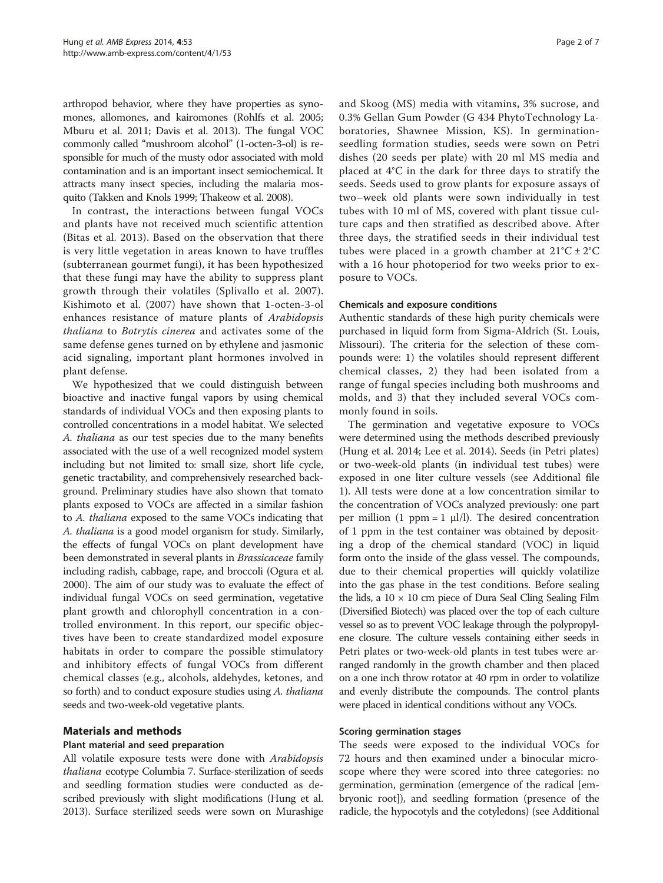arthropod behavior, where they have properties as synomones, allomones, and kairomones (Rohlfs et al. [2005](#page-6-0); Mburu et al. [2011;](#page-6-0) Davis et al. [2013\)](#page-5-0). The fungal VOC commonly called "mushroom alcohol" (1-octen-3-ol) is responsible for much of the musty odor associated with mold contamination and is an important insect semiochemical. It attracts many insect species, including the malaria mosquito (Takken and Knols [1999](#page-6-0); Thakeow et al. [2008](#page-6-0)).

In contrast, the interactions between fungal VOCs and plants have not received much scientific attention (Bitas et al. [2013](#page-5-0)). Based on the observation that there is very little vegetation in areas known to have truffles (subterranean gourmet fungi), it has been hypothesized that these fungi may have the ability to suppress plant growth through their volatiles (Splivallo et al. [2007](#page-6-0)). Kishimoto et al. ([2007](#page-6-0)) have shown that 1-octen-3-ol enhances resistance of mature plants of Arabidopsis thaliana to Botrytis cinerea and activates some of the same defense genes turned on by ethylene and jasmonic acid signaling, important plant hormones involved in plant defense.

We hypothesized that we could distinguish between bioactive and inactive fungal vapors by using chemical standards of individual VOCs and then exposing plants to controlled concentrations in a model habitat. We selected A. thaliana as our test species due to the many benefits associated with the use of a well recognized model system including but not limited to: small size, short life cycle, genetic tractability, and comprehensively researched background. Preliminary studies have also shown that tomato plants exposed to VOCs are affected in a similar fashion to A. thaliana exposed to the same VOCs indicating that A. thaliana is a good model organism for study. Similarly, the effects of fungal VOCs on plant development have been demonstrated in several plants in Brassicaceae family including radish, cabbage, rape, and broccoli (Ogura et al. [2000\)](#page-6-0). The aim of our study was to evaluate the effect of individual fungal VOCs on seed germination, vegetative plant growth and chlorophyll concentration in a controlled environment. In this report, our specific objectives have been to create standardized model exposure habitats in order to compare the possible stimulatory and inhibitory effects of fungal VOCs from different chemical classes (e.g., alcohols, aldehydes, ketones, and so forth) and to conduct exposure studies using A. thaliana seeds and two-week-old vegetative plants.

## Materials and methods

## Plant material and seed preparation

All volatile exposure tests were done with Arabidopsis thaliana ecotype Columbia 7. Surface-sterilization of seeds and seedling formation studies were conducted as described previously with slight modifications (Hung et al. [2013\)](#page-5-0). Surface sterilized seeds were sown on Murashige

and Skoog (MS) media with vitamins, 3% sucrose, and 0.3% Gellan Gum Powder (G 434 PhytoTechnology Laboratories, Shawnee Mission, KS). In germinationseedling formation studies, seeds were sown on Petri dishes (20 seeds per plate) with 20 ml MS media and placed at 4°C in the dark for three days to stratify the seeds. Seeds used to grow plants for exposure assays of two–week old plants were sown individually in test tubes with 10 ml of MS, covered with plant tissue culture caps and then stratified as described above. After three days, the stratified seeds in their individual test tubes were placed in a growth chamber at  $21^{\circ}C \pm 2^{\circ}C$ with a 16 hour photoperiod for two weeks prior to exposure to VOCs.

#### Chemicals and exposure conditions

Authentic standards of these high purity chemicals were purchased in liquid form from Sigma-Aldrich (St. Louis, Missouri). The criteria for the selection of these compounds were: 1) the volatiles should represent different chemical classes, 2) they had been isolated from a range of fungal species including both mushrooms and molds, and 3) that they included several VOCs commonly found in soils.

The germination and vegetative exposure to VOCs were determined using the methods described previously (Hung et al. [2014](#page-5-0); Lee et al. [2014](#page-6-0)). Seeds (in Petri plates) or two-week-old plants (in individual test tubes) were exposed in one liter culture vessels (see Additional file [1\)](#page-5-0). All tests were done at a low concentration similar to the concentration of VOCs analyzed previously: one part per million  $(1 \text{ ppm} = 1 \text{ µl/l})$ . The desired concentration of 1 ppm in the test container was obtained by depositing a drop of the chemical standard (VOC) in liquid form onto the inside of the glass vessel. The compounds, due to their chemical properties will quickly volatilize into the gas phase in the test conditions. Before sealing the lids, a  $10 \times 10$  cm piece of Dura Seal Cling Sealing Film (Diversified Biotech) was placed over the top of each culture vessel so as to prevent VOC leakage through the polypropylene closure. The culture vessels containing either seeds in Petri plates or two-week-old plants in test tubes were arranged randomly in the growth chamber and then placed on a one inch throw rotator at 40 rpm in order to volatilize and evenly distribute the compounds. The control plants were placed in identical conditions without any VOCs.

#### Scoring germination stages

The seeds were exposed to the individual VOCs for 72 hours and then examined under a binocular microscope where they were scored into three categories: no germination, germination (emergence of the radical [embryonic root]), and seedling formation (presence of the radicle, the hypocotyls and the cotyledons) (see Additional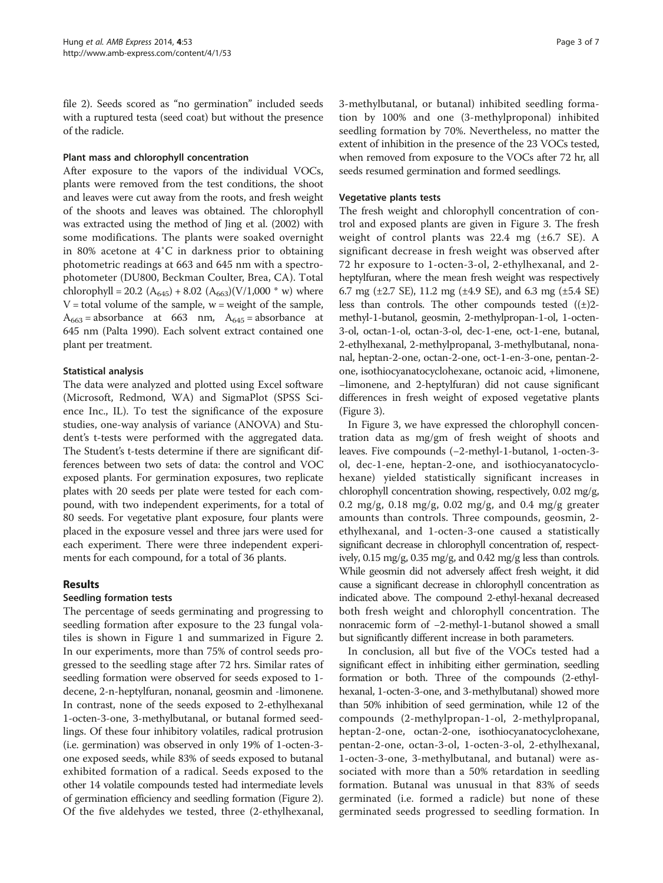file [2\)](#page-5-0). Seeds scored as "no germination" included seeds with a ruptured testa (seed coat) but without the presence of the radicle.

#### Plant mass and chlorophyll concentration

After exposure to the vapors of the individual VOCs, plants were removed from the test conditions, the shoot and leaves were cut away from the roots, and fresh weight of the shoots and leaves was obtained. The chlorophyll was extracted using the method of Jing et al. [\(2002](#page-5-0)) with some modifications. The plants were soaked overnight in 80% acetone at 4˚C in darkness prior to obtaining photometric readings at 663 and 645 nm with a spectrophotometer (DU800, Beckman Coulter, Brea, CA). Total chlorophyll = 20.2 ( $A_{645}$ ) + 8.02 ( $A_{663}$ )(V/1,000 \* w) where  $V =$  total volume of the sample,  $w =$  weight of the sample,  $A_{663}$  = absorbance at 663 nm,  $A_{645}$  = absorbance at 645 nm (Palta [1990\)](#page-6-0). Each solvent extract contained one plant per treatment.

## Statistical analysis

The data were analyzed and plotted using Excel software (Microsoft, Redmond, WA) and SigmaPlot (SPSS Science Inc., IL). To test the significance of the exposure studies, one-way analysis of variance (ANOVA) and Student's t-tests were performed with the aggregated data. The Student's t-tests determine if there are significant differences between two sets of data: the control and VOC exposed plants. For germination exposures, two replicate plates with 20 seeds per plate were tested for each compound, with two independent experiments, for a total of 80 seeds. For vegetative plant exposure, four plants were placed in the exposure vessel and three jars were used for each experiment. There were three independent experiments for each compound, for a total of 36 plants.

## Results

## Seedling formation tests

The percentage of seeds germinating and progressing to seedling formation after exposure to the 23 fungal volatiles is shown in Figure [1](#page-3-0) and summarized in Figure [2](#page-3-0). In our experiments, more than 75% of control seeds progressed to the seedling stage after 72 hrs. Similar rates of seedling formation were observed for seeds exposed to 1 decene, 2-n-heptylfuran, nonanal, geosmin and -limonene. In contrast, none of the seeds exposed to 2-ethylhexanal 1-octen-3-one, 3-methylbutanal, or butanal formed seedlings. Of these four inhibitory volatiles, radical protrusion (i.e. germination) was observed in only 19% of 1-octen-3 one exposed seeds, while 83% of seeds exposed to butanal exhibited formation of a radical. Seeds exposed to the other 14 volatile compounds tested had intermediate levels of germination efficiency and seedling formation (Figure [2](#page-3-0)). Of the five aldehydes we tested, three (2-ethylhexanal,

3-methylbutanal, or butanal) inhibited seedling formation by 100% and one (3-methylproponal) inhibited seedling formation by 70%. Nevertheless, no matter the extent of inhibition in the presence of the 23 VOCs tested, when removed from exposure to the VOCs after 72 hr, all seeds resumed germination and formed seedlings.

## Vegetative plants tests

The fresh weight and chlorophyll concentration of control and exposed plants are given in Figure [3](#page-4-0). The fresh weight of control plants was  $22.4$  mg ( $\pm 6.7$  SE). A significant decrease in fresh weight was observed after 72 hr exposure to 1-octen-3-ol, 2-ethylhexanal, and 2 heptylfuran, where the mean fresh weight was respectively 6.7 mg (±2.7 SE), 11.2 mg (±4.9 SE), and 6.3 mg (±5.4 SE) less than controls. The other compounds tested  $((\pm)2$ methyl-1-butanol, geosmin, 2-methylpropan-1-ol, 1-octen-3-ol, octan-1-ol, octan-3-ol, dec-1-ene, oct-1-ene, butanal, 2-ethylhexanal, 2-methylpropanal, 3-methylbutanal, nonanal, heptan-2-one, octan-2-one, oct-1-en-3-one, pentan-2 one, isothiocyanatocyclohexane, octanoic acid, +limonene, −limonene, and 2-heptylfuran) did not cause significant differences in fresh weight of exposed vegetative plants (Figure [3](#page-4-0)).

In Figure [3](#page-4-0), we have expressed the chlorophyll concentration data as mg/gm of fresh weight of shoots and leaves. Five compounds (−2-methyl-1-butanol, 1-octen-3 ol, dec-1-ene, heptan-2-one, and isothiocyanatocyclohexane) yielded statistically significant increases in chlorophyll concentration showing, respectively, 0.02 mg/g, 0.2 mg/g, 0.18 mg/g, 0.02 mg/g, and 0.4 mg/g greater amounts than controls. Three compounds, geosmin, 2 ethylhexanal, and 1-octen-3-one caused a statistically significant decrease in chlorophyll concentration of, respectively, 0.15 mg/g, 0.35 mg/g, and 0.42 mg/g less than controls. While geosmin did not adversely affect fresh weight, it did cause a significant decrease in chlorophyll concentration as indicated above. The compound 2-ethyl-hexanal decreased both fresh weight and chlorophyll concentration. The nonracemic form of −2-methyl-1-butanol showed a small but significantly different increase in both parameters.

In conclusion, all but five of the VOCs tested had a significant effect in inhibiting either germination, seedling formation or both. Three of the compounds (2-ethylhexanal, 1-octen-3-one, and 3-methylbutanal) showed more than 50% inhibition of seed germination, while 12 of the compounds (2-methylpropan-1-ol, 2-methylpropanal, heptan-2-one, octan-2-one, isothiocyanatocyclohexane, pentan-2-one, octan-3-ol, 1-octen-3-ol, 2-ethylhexanal, 1-octen-3-one, 3-methylbutanal, and butanal) were associated with more than a 50% retardation in seedling formation. Butanal was unusual in that 83% of seeds germinated (i.e. formed a radicle) but none of these germinated seeds progressed to seedling formation. In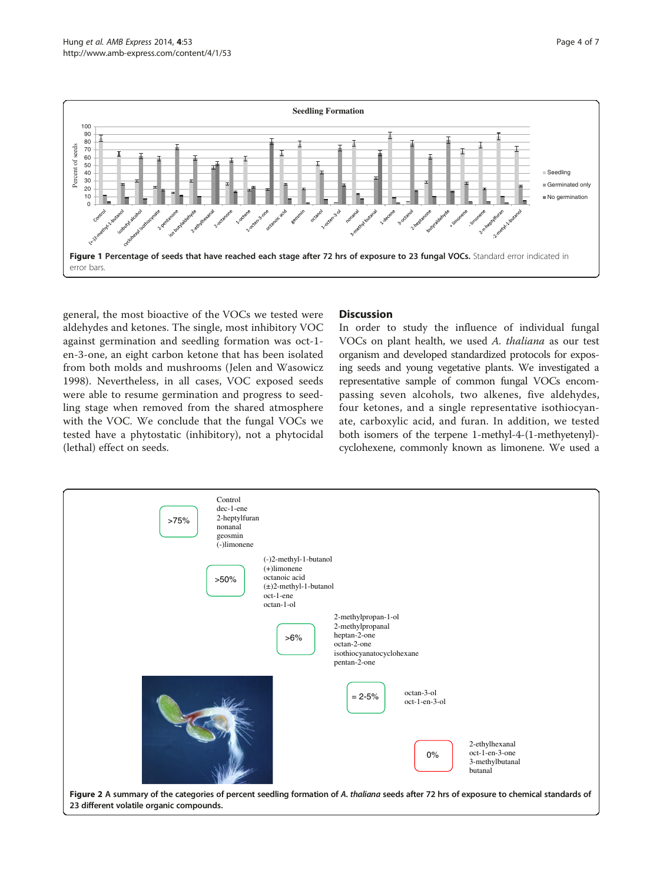<span id="page-3-0"></span>

general, the most bioactive of the VOCs we tested were aldehydes and ketones. The single, most inhibitory VOC against germination and seedling formation was oct-1 en-3-one, an eight carbon ketone that has been isolated from both molds and mushrooms (Jelen and Wasowicz [1998\)](#page-5-0). Nevertheless, in all cases, VOC exposed seeds were able to resume germination and progress to seedling stage when removed from the shared atmosphere with the VOC. We conclude that the fungal VOCs we tested have a phytostatic (inhibitory), not a phytocidal (lethal) effect on seeds.

## **Discussion**

In order to study the influence of individual fungal VOCs on plant health, we used A. thaliana as our test organism and developed standardized protocols for exposing seeds and young vegetative plants. We investigated a representative sample of common fungal VOCs encompassing seven alcohols, two alkenes, five aldehydes, four ketones, and a single representative isothiocyanate, carboxylic acid, and furan. In addition, we tested both isomers of the terpene 1-methyl-4-(1-methyetenyl) cyclohexene, commonly known as limonene. We used a

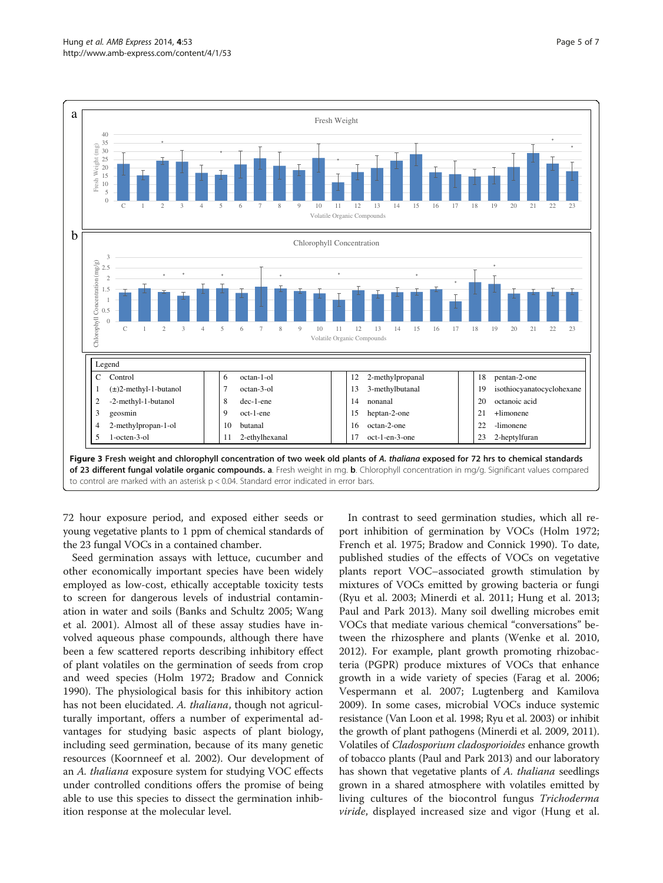<span id="page-4-0"></span>

72 hour exposure period, and exposed either seeds or young vegetative plants to 1 ppm of chemical standards of the 23 fungal VOCs in a contained chamber.

Seed germination assays with lettuce, cucumber and other economically important species have been widely employed as low-cost, ethically acceptable toxicity tests to screen for dangerous levels of industrial contamination in water and soils (Banks and Schultz [2005;](#page-5-0) Wang et al. [2001\)](#page-6-0). Almost all of these assay studies have involved aqueous phase compounds, although there have been a few scattered reports describing inhibitory effect of plant volatiles on the germination of seeds from crop and weed species (Holm [1972](#page-5-0); Bradow and Connick [1990](#page-5-0)). The physiological basis for this inhibitory action has not been elucidated. A. thaliana, though not agriculturally important, offers a number of experimental advantages for studying basic aspects of plant biology, including seed germination, because of its many genetic resources (Koornneef et al. [2002\)](#page-6-0). Our development of an A. thaliana exposure system for studying VOC effects under controlled conditions offers the promise of being able to use this species to dissect the germination inhibition response at the molecular level.

In contrast to seed germination studies, which all report inhibition of germination by VOCs (Holm [1972](#page-5-0); French et al. [1975;](#page-5-0) Bradow and Connick [1990](#page-5-0)). To date, published studies of the effects of VOCs on vegetative plants report VOC–associated growth stimulation by mixtures of VOCs emitted by growing bacteria or fungi (Ryu et al. [2003;](#page-6-0) Minerdi et al. [2011](#page-6-0); Hung et al. [2013](#page-5-0); Paul and Park [2013](#page-6-0)). Many soil dwelling microbes emit VOCs that mediate various chemical "conversations" between the rhizosphere and plants (Wenke et al. [2010](#page-6-0), [2012](#page-6-0)). For example, plant growth promoting rhizobacteria (PGPR) produce mixtures of VOCs that enhance growth in a wide variety of species (Farag et al. [2006](#page-5-0); Vespermann et al. [2007;](#page-6-0) Lugtenberg and Kamilova [2009](#page-6-0)). In some cases, microbial VOCs induce systemic resistance (Van Loon et al. [1998](#page-6-0); Ryu et al. [2003](#page-6-0)) or inhibit the growth of plant pathogens (Minerdi et al. [2009](#page-6-0), [2011](#page-6-0)). Volatiles of Cladosporium cladosporioides enhance growth of tobacco plants (Paul and Park [2013\)](#page-6-0) and our laboratory has shown that vegetative plants of A. *thaliana* seedlings grown in a shared atmosphere with volatiles emitted by living cultures of the biocontrol fungus Trichoderma viride, displayed increased size and vigor (Hung et al.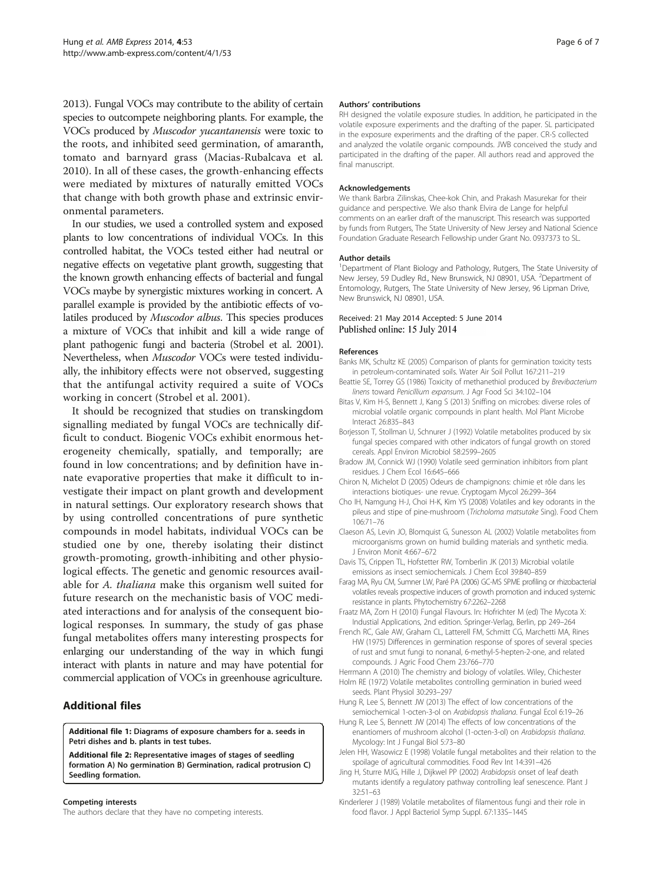<span id="page-5-0"></span>2013). Fungal VOCs may contribute to the ability of certain species to outcompete neighboring plants. For example, the VOCs produced by Muscodor yucantanensis were toxic to the roots, and inhibited seed germination, of amaranth, tomato and barnyard grass (Macias-Rubalcava et al. [2010\)](#page-6-0). In all of these cases, the growth-enhancing effects were mediated by mixtures of naturally emitted VOCs that change with both growth phase and extrinsic environmental parameters.

In our studies, we used a controlled system and exposed plants to low concentrations of individual VOCs. In this controlled habitat, the VOCs tested either had neutral or negative effects on vegetative plant growth, suggesting that the known growth enhancing effects of bacterial and fungal VOCs maybe by synergistic mixtures working in concert. A parallel example is provided by the antibiotic effects of volatiles produced by Muscodor albus. This species produces a mixture of VOCs that inhibit and kill a wide range of plant pathogenic fungi and bacteria (Strobel et al. [2001](#page-6-0)). Nevertheless, when Muscodor VOCs were tested individually, the inhibitory effects were not observed, suggesting that the antifungal activity required a suite of VOCs working in concert (Strobel et al. [2001](#page-6-0)).

It should be recognized that studies on transkingdom signalling mediated by fungal VOCs are technically difficult to conduct. Biogenic VOCs exhibit enormous heterogeneity chemically, spatially, and temporally; are found in low concentrations; and by definition have innate evaporative properties that make it difficult to investigate their impact on plant growth and development in natural settings. Our exploratory research shows that by using controlled concentrations of pure synthetic compounds in model habitats, individual VOCs can be studied one by one, thereby isolating their distinct growth-promoting, growth-inhibiting and other physiological effects. The genetic and genomic resources available for A. thaliana make this organism well suited for future research on the mechanistic basis of VOC mediated interactions and for analysis of the consequent biological responses. In summary, the study of gas phase fungal metabolites offers many interesting prospects for enlarging our understanding of the way in which fungi interact with plants in nature and may have potential for commercial application of VOCs in greenhouse agriculture.

## Additional files

[Additional file 1:](http://www.biomedcentral.com/content/supplementary/13568_2014_53_MOESM_ESM1.doc) Diagrams of exposure chambers for a. seeds in Petri dishes and b. plants in test tubes.

[Additional file 2:](http://www.biomedcentral.com/content/supplementary/13568_2014_53_MOESM_ESM2.doc) Representative images of stages of seedling formation A) No germination B) Germination, radical protrusion C) Seedling formation.

#### Competing interests

The authors declare that they have no competing interests.

#### Authors' contributions

RH designed the volatile exposure studies. In addition, he participated in the volatile exposure experiments and the drafting of the paper. SL participated in the exposure experiments and the drafting of the paper. CR-S collected and analyzed the volatile organic compounds. JWB conceived the study and participated in the drafting of the paper. All authors read and approved the final manuscript.

#### Acknowledgements

We thank Barbra Zilinskas, Chee-kok Chin, and Prakash Masurekar for their guidance and perspective. We also thank Elvira de Lange for helpful comments on an earlier draft of the manuscript. This research was supported by funds from Rutgers, The State University of New Jersey and National Science Foundation Graduate Research Fellowship under Grant No. 0937373 to SL.

#### Author details

<sup>1</sup>Department of Plant Biology and Pathology, Rutgers, The State University of New Jersey, 59 Dudley Rd., New Brunswick, NJ 08901, USA. <sup>2</sup>Department of Entomology, Rutgers, The State University of New Jersey, 96 Lipman Drive, New Brunswick, NJ 08901, USA.

#### Received: 21 May 2014 Accepted: 5 June 2014 Published online: 15 July 2014

#### References

- Banks MK, Schultz KE (2005) Comparison of plants for germination toxicity tests in petroleum-contaminated soils. Water Air Soil Pollut 167:211–219
- Beattie SE, Torrey GS (1986) Toxicity of methanethiol produced by Brevibacterium linens toward Penicillium expansum. J Agr Food Sci 34:102–104
- Bitas V, Kim H-S, Bennett J, Kang S (2013) Sniffing on microbes: diverse roles of microbial volatile organic compounds in plant health. Mol Plant Microbe Interact 26:835–843
- Borjesson T, Stollman U, Schnurer J (1992) Volatile metabolites produced by six fungal species compared with other indicators of fungal growth on stored cereals. Appl Environ Microbiol 58:2599–2605
- Bradow JM, Connick WJ (1990) Volatile seed germination inhibitors from plant residues. J Chem Ecol 16:645–666
- Chiron N, Michelot D (2005) Odeurs de champignons: chimie et rôle dans les interactions biotiques- une revue. Cryptogam Mycol 26:299–364
- Cho IH, Namgung H-J, Choi H-K, Kim YS (2008) Volatiles and key odorants in the pileus and stipe of pine-mushroom (Tricholoma matsutake Sing). Food Chem 106:71–76
- Claeson AS, Levin JO, Blomquist G, Sunesson AL (2002) Volatile metabolites from microorganisms grown on humid building materials and synthetic media. J Environ Monit 4:667–672
- Davis TS, Crippen TL, Hofstetter RW, Tomberlin JK (2013) Microbial volatile emissions as insect semiochemicals. J Chem Ecol 39:840–859
- Farag MA, Ryu CM, Sumner LW, Paré PA (2006) GC-MS SPME profiling or rhizobacterial volatiles reveals prospective inducers of growth promotion and induced systemic resistance in plants. Phytochemistry 67:2262–2268
- Fraatz MA, Zorn H (2010) Fungal Flavours. In: Hofrichter M (ed) The Mycota X: Industial Applications, 2nd edition. Springer-Verlag, Berlin, pp 249–264
- French RC, Gale AW, Graham CL, Latterell FM, Schmitt CG, Marchetti MA, Rines HW (1975) Differences in germination response of spores of several species of rust and smut fungi to nonanal, 6-methyl-5-hepten-2-one, and related compounds. J Agric Food Chem 23:766–770
- Herrmann A (2010) The chemistry and biology of volatiles. Wiley, Chichester Holm RE (1972) Volatile metabolites controlling germination in buried weed seeds. Plant Physiol 30:293–297
- Hung R, Lee S, Bennett JW (2013) The effect of low concentrations of the semiochemical 1-octen-3-ol on Arabidopsis thaliana. Fungal Ecol 6:19–26
- Hung R, Lee S, Bennett JW (2014) The effects of low concentrations of the enantiomers of mushroom alcohol (1-octen-3-ol) on Arabidopsis thaliana. Mycology: Int J Fungal Biol 5:73–80
- Jelen HH, Wasowicz E (1998) Volatile fungal metabolites and their relation to the spoilage of agricultural commodities. Food Rev Int 14:391–426
- Jing H, Sturre MJG, Hille J, Dijkwel PP (2002) Arabidopsis onset of leaf death mutants identify a regulatory pathway controlling leaf senescence. Plant J 32:51–63
- Kinderlerer J (1989) Volatile metabolites of filamentous fungi and their role in food flavor. J Appl Bacteriol Symp Suppl. 67:133S–144S